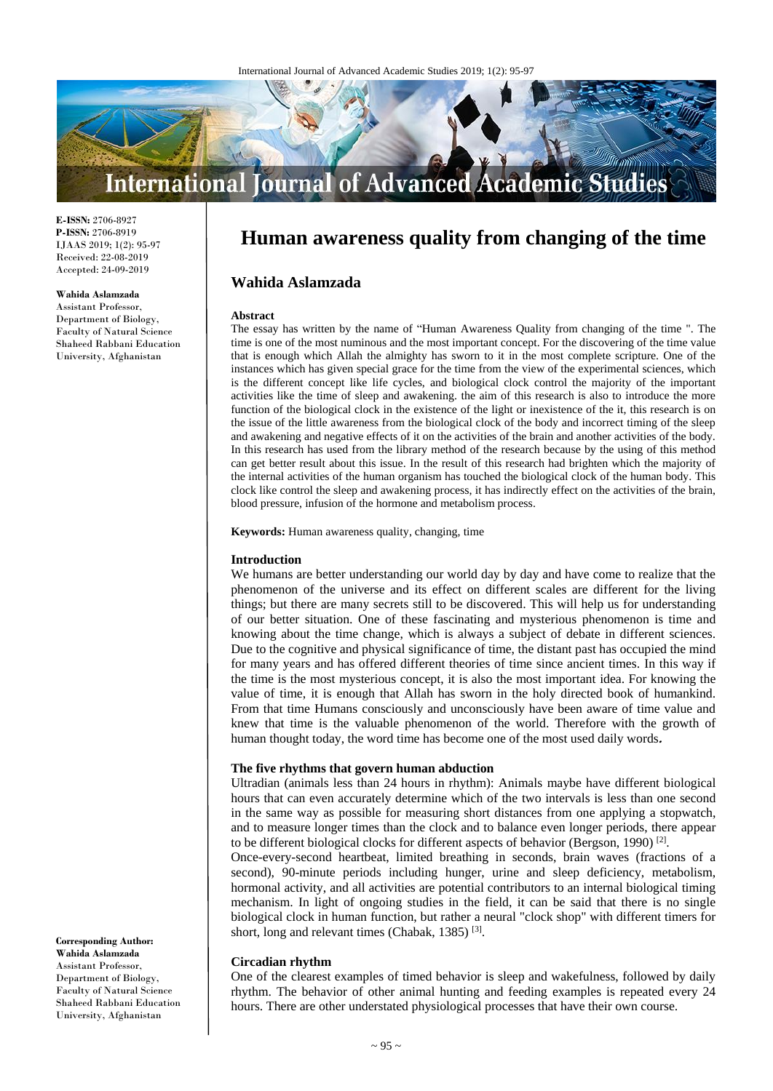

**E-ISSN:** 2706-8927 **P-ISSN:** 2706-8919 IJAAS 2019; 1(2): 95-97 Received: 22-08-2019 Accepted: 24-09-2019

## **Wahida Aslamzada**

Assistant Professor, Department of Biology, Faculty of Natural Science Shaheed Rabbani Education University, Afghanistan

# **Human awareness quality from changing of the time**

# **Wahida Aslamzada**

#### **Abstract**

The essay has written by the name of "Human Awareness Quality from changing of the time ". The time is one of the most numinous and the most important concept. For the discovering of the time value that is enough which Allah the almighty has sworn to it in the most complete scripture. One of the instances which has given special grace for the time from the view of the experimental sciences, which is the different concept like life cycles, and biological clock control the majority of the important activities like the time of sleep and awakening. the aim of this research is also to introduce the more function of the biological clock in the existence of the light or inexistence of the it, this research is on the issue of the little awareness from the biological clock of the body and incorrect timing of the sleep and awakening and negative effects of it on the activities of the brain and another activities of the body. In this research has used from the library method of the research because by the using of this method can get better result about this issue. In the result of this research had brighten which the majority of the internal activities of the human organism has touched the biological clock of the human body. This clock like control the sleep and awakening process, it has indirectly effect on the activities of the brain, blood pressure, infusion of the hormone and metabolism process.

**Keywords:** Human awareness quality, changing, time

## **Introduction**

We humans are better understanding our world day by day and have come to realize that the phenomenon of the universe and its effect on different scales are different for the living things; but there are many secrets still to be discovered. This will help us for understanding of our better situation. One of these fascinating and mysterious phenomenon is time and knowing about the time change, which is always a subject of debate in different sciences. Due to the cognitive and physical significance of time, the distant past has occupied the mind for many years and has offered different theories of time since ancient times. In this way if the time is the most mysterious concept, it is also the most important idea. For knowing the value of time, it is enough that Allah has sworn in the holy directed book of humankind. From that time Humans consciously and unconsciously have been aware of time value and knew that time is the valuable phenomenon of the world. Therefore with the growth of human thought today, the word time has become one of the most used daily words**.**

## **The five rhythms that govern human abduction**

Ultradian (animals less than 24 hours in rhythm): Animals maybe have different biological hours that can even accurately determine which of the two intervals is less than one second in the same way as possible for measuring short distances from one applying a stopwatch, and to measure longer times than the clock and to balance even longer periods, there appear to be different biological clocks for different aspects of behavior (Bergson, 1990)<sup>[2]</sup>.

Once-every-second heartbeat, limited breathing in seconds, brain waves (fractions of a second), 90-minute periods including hunger, urine and sleep deficiency, metabolism, hormonal activity, and all activities are potential contributors to an internal biological timing mechanism. In light of ongoing studies in the field, it can be said that there is no single biological clock in human function, but rather a neural "clock shop" with different timers for short, long and relevant times (Chabak, 1385)<sup>[3]</sup>.

## **Circadian rhythm**

One of the clearest examples of timed behavior is sleep and wakefulness, followed by daily rhythm. The behavior of other animal hunting and feeding examples is repeated every 24 hours. There are other understated physiological processes that have their own course.

**Corresponding Author: Wahida Aslamzada** Assistant Professor, Department of Biology, Faculty of Natural Science Shaheed Rabbani Education University, Afghanistan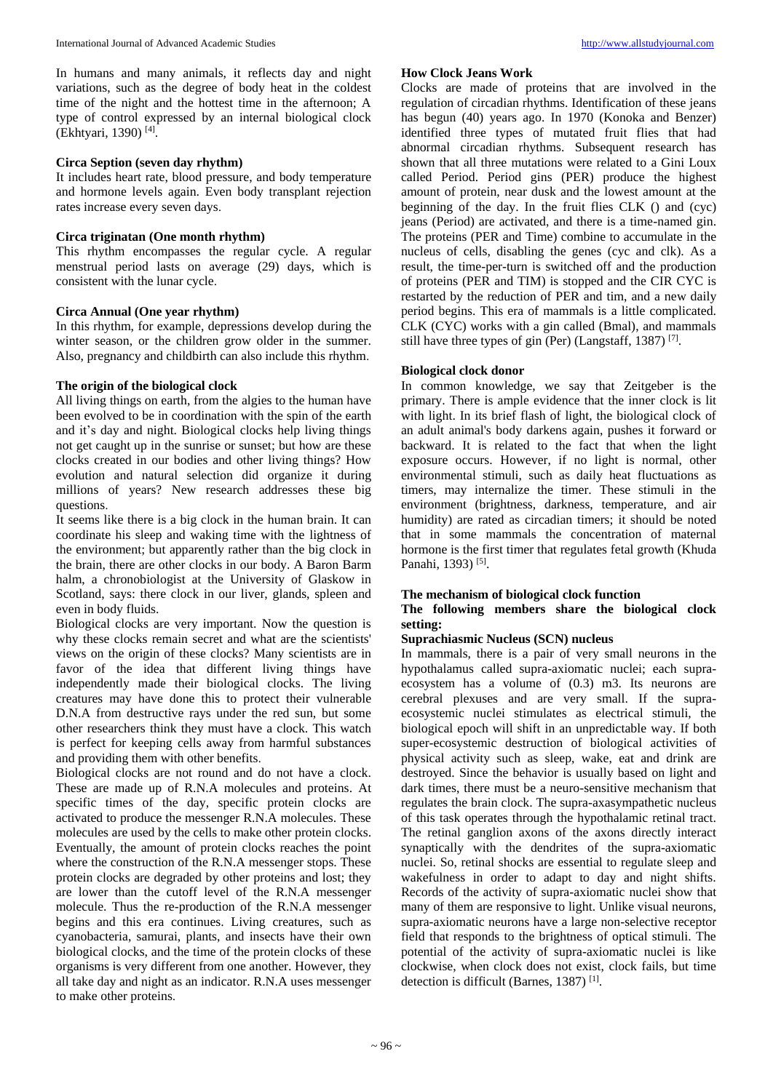In humans and many animals, it reflects day and night variations, such as the degree of body heat in the coldest time of the night and the hottest time in the afternoon; A type of control expressed by an internal biological clock (Ekhtyari, 1390) [4] .

# **Circa Seption (seven day rhythm)**

It includes heart rate, blood pressure, and body temperature and hormone levels again. Even body transplant rejection rates increase every seven days.

# **Circa triginatan (One month rhythm)**

This rhythm encompasses the regular cycle. A regular menstrual period lasts on average (29) days, which is consistent with the lunar cycle.

#### **Circa Annual (One year rhythm)**

In this rhythm, for example, depressions develop during the winter season, or the children grow older in the summer. Also, pregnancy and childbirth can also include this rhythm.

#### **The origin of the biological clock**

All living things on earth, from the algies to the human have been evolved to be in coordination with the spin of the earth and it's day and night. Biological clocks help living things not get caught up in the sunrise or sunset; but how are these clocks created in our bodies and other living things? How evolution and natural selection did organize it during millions of years? New research addresses these big questions.

It seems like there is a big clock in the human brain. It can coordinate his sleep and waking time with the lightness of the environment; but apparently rather than the big clock in the brain, there are other clocks in our body. A Baron Barm halm, a chronobiologist at the University of Glaskow in Scotland, says: there clock in our liver, glands, spleen and even in body fluids.

Biological clocks are very important. Now the question is why these clocks remain secret and what are the scientists' views on the origin of these clocks? Many scientists are in favor of the idea that different living things have independently made their biological clocks. The living creatures may have done this to protect their vulnerable D.N.A from destructive rays under the red sun, but some other researchers think they must have a clock. This watch is perfect for keeping cells away from harmful substances and providing them with other benefits.

Biological clocks are not round and do not have a clock. These are made up of R.N.A molecules and proteins. At specific times of the day, specific protein clocks are activated to produce the messenger R.N.A molecules. These molecules are used by the cells to make other protein clocks. Eventually, the amount of protein clocks reaches the point where the construction of the R.N.A messenger stops. These protein clocks are degraded by other proteins and lost; they are lower than the cutoff level of the R.N.A messenger molecule. Thus the re-production of the R.N.A messenger begins and this era continues. Living creatures, such as cyanobacteria, samurai, plants, and insects have their own biological clocks, and the time of the protein clocks of these organisms is very different from one another. However, they all take day and night as an indicator. R.N.A uses messenger to make other proteins.

#### **How Clock Jeans Work**

Clocks are made of proteins that are involved in the regulation of circadian rhythms. Identification of these jeans has begun (40) years ago. In 1970 (Konoka and Benzer) identified three types of mutated fruit flies that had abnormal circadian rhythms. Subsequent research has shown that all three mutations were related to a Gini Loux called Period. Period gins (PER) produce the highest amount of protein, near dusk and the lowest amount at the beginning of the day. In the fruit flies CLK () and (cyc) jeans (Period) are activated, and there is a time-named gin. The proteins (PER and Time) combine to accumulate in the nucleus of cells, disabling the genes (cyc and clk). As a result, the time-per-turn is switched off and the production of proteins (PER and TIM) is stopped and the CIR CYC is restarted by the reduction of PER and tim, and a new daily period begins. This era of mammals is a little complicated. CLK (CYC) works with a gin called (Bmal), and mammals still have three types of gin (Per) (Langstaff, 1387)<sup>[7]</sup>.

#### **Biological clock donor**

In common knowledge, we say that Zeitgeber is the primary. There is ample evidence that the inner clock is lit with light. In its brief flash of light, the biological clock of an adult animal's body darkens again, pushes it forward or backward. It is related to the fact that when the light exposure occurs. However, if no light is normal, other environmental stimuli, such as daily heat fluctuations as timers, may internalize the timer. These stimuli in the environment (brightness, darkness, temperature, and air humidity) are rated as circadian timers; it should be noted that in some mammals the concentration of maternal hormone is the first timer that regulates fetal growth (Khuda Panahi, 1393)<sup>[5]</sup>.

## **The mechanism of biological clock function**

# **The following members share the biological clock setting:**

## **Suprachiasmic Nucleus (SCN) nucleus**

In mammals, there is a pair of very small neurons in the hypothalamus called supra-axiomatic nuclei; each supraecosystem has a volume of (0.3) m3. Its neurons are cerebral plexuses and are very small. If the supraecosystemic nuclei stimulates as electrical stimuli, the biological epoch will shift in an unpredictable way. If both super-ecosystemic destruction of biological activities of physical activity such as sleep, wake, eat and drink are destroyed. Since the behavior is usually based on light and dark times, there must be a neuro-sensitive mechanism that regulates the brain clock. The supra-axasympathetic nucleus of this task operates through the hypothalamic retinal tract. The retinal ganglion axons of the axons directly interact synaptically with the dendrites of the supra-axiomatic nuclei. So, retinal shocks are essential to regulate sleep and wakefulness in order to adapt to day and night shifts. Records of the activity of supra-axiomatic nuclei show that many of them are responsive to light. Unlike visual neurons, supra-axiomatic neurons have a large non-selective receptor field that responds to the brightness of optical stimuli. The potential of the activity of supra-axiomatic nuclei is like clockwise, when clock does not exist, clock fails, but time detection is difficult (Barnes, 1387)<sup>[1]</sup>.